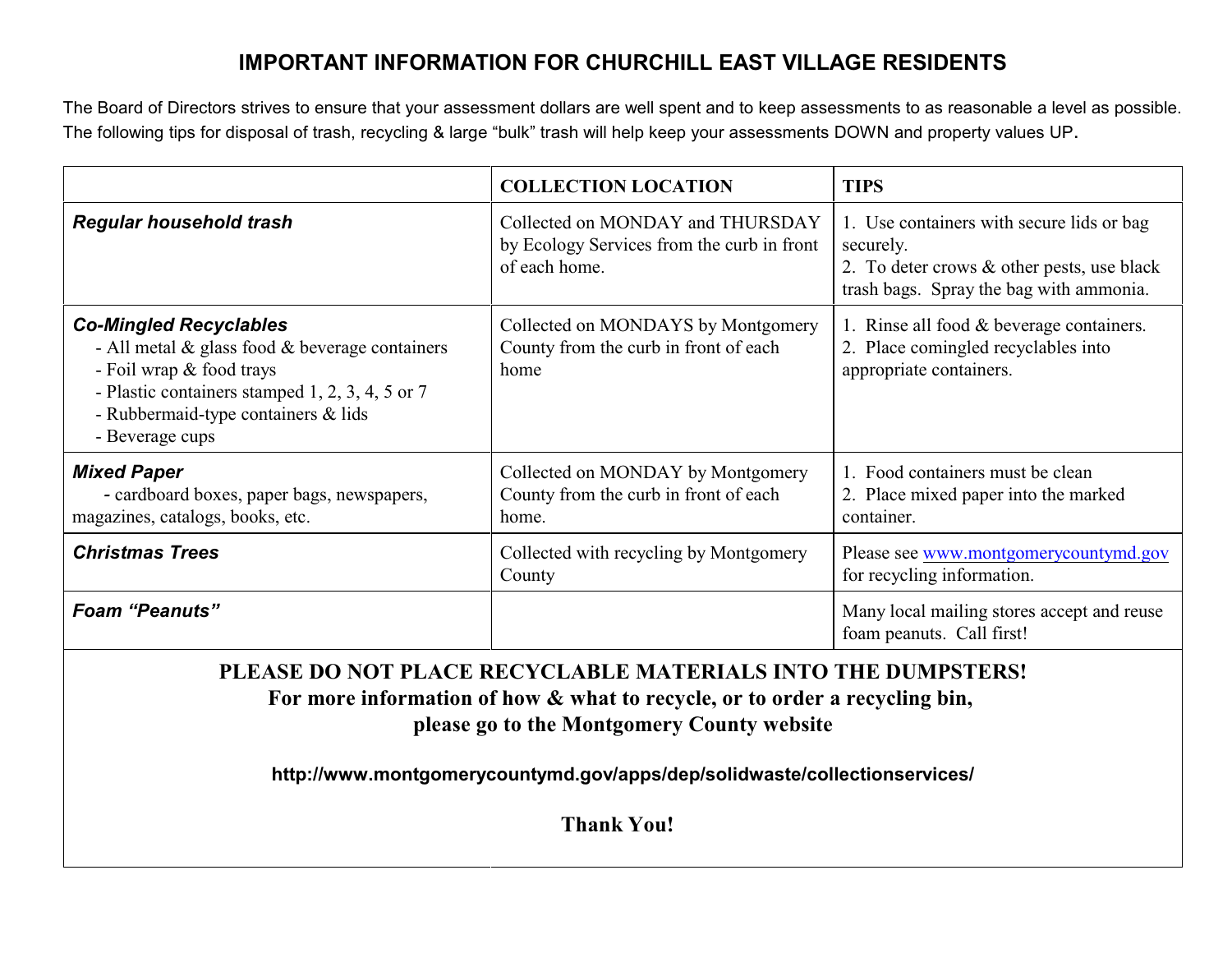## **IMPORTANT INFORMATION FOR CHURCHILL EAST VILLAGE RESIDENTS**

The Board of Directors strives to ensure that your assessment dollars are well spent and to keep assessments to as reasonable a level as possible. The following tips for disposal of trash, recycling & large "bulk" trash will help keep your assessments DOWN and property values UP.

|                                                                                                                                                                                                                                                                        | <b>COLLECTION LOCATION</b>                                                                      | <b>TIPS</b>                                                                                                                                     |  |
|------------------------------------------------------------------------------------------------------------------------------------------------------------------------------------------------------------------------------------------------------------------------|-------------------------------------------------------------------------------------------------|-------------------------------------------------------------------------------------------------------------------------------------------------|--|
| <b>Regular household trash</b>                                                                                                                                                                                                                                         | Collected on MONDAY and THURSDAY<br>by Ecology Services from the curb in front<br>of each home. | 1. Use containers with secure lids or bag<br>securely.<br>2. To deter crows & other pests, use black<br>trash bags. Spray the bag with ammonia. |  |
| <b>Co-Mingled Recyclables</b><br>- All metal $\&$ glass food $\&$ beverage containers<br>- Foil wrap & food trays<br>- Plastic containers stamped 1, 2, 3, 4, 5 or 7<br>- Rubbermaid-type containers & lids<br>- Beverage cups                                         | Collected on MONDAYS by Montgomery<br>County from the curb in front of each<br>home             | 1. Rinse all food & beverage containers.<br>2. Place comingled recyclables into<br>appropriate containers.                                      |  |
| <b>Mixed Paper</b><br>- cardboard boxes, paper bags, newspapers,<br>magazines, catalogs, books, etc.                                                                                                                                                                   | Collected on MONDAY by Montgomery<br>County from the curb in front of each<br>home.             | 1. Food containers must be clean<br>2. Place mixed paper into the marked<br>container.                                                          |  |
| <b>Christmas Trees</b>                                                                                                                                                                                                                                                 | Collected with recycling by Montgomery<br>County                                                | Please see www.montgomerycountymd.gov<br>for recycling information.                                                                             |  |
| <b>Foam "Peanuts"</b>                                                                                                                                                                                                                                                  |                                                                                                 | Many local mailing stores accept and reuse<br>foam peanuts. Call first!                                                                         |  |
| PLEASE DO NOT PLACE RECYCLABLE MATERIALS INTO THE DUMPSTERS!<br>For more information of how & what to recycle, or to order a recycling bin,<br>please go to the Montgomery County website<br>http://www.montgomerycountymd.gov/apps/dep/solidwaste/collectionservices/ |                                                                                                 |                                                                                                                                                 |  |

**Thank You!**